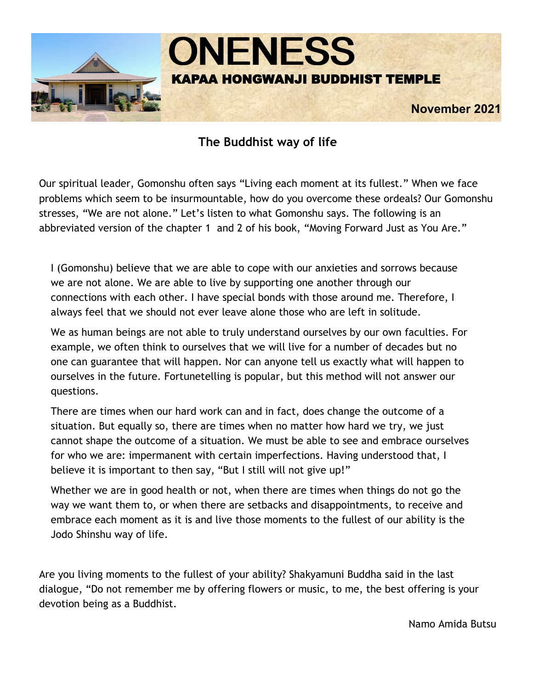

# **The Buddhist way of life**

Our spiritual leader, Gomonshu often says "Living each moment at its fullest." When we face problems which seem to be insurmountable, how do you overcome these ordeals? Our Gomonshu stresses, "We are not alone." Let's listen to what Gomonshu says. The following is an abbreviated version of the chapter 1 and 2 of his book, "Moving Forward Just as You Are."

I (Gomonshu) believe that we are able to cope with our anxieties and sorrows because we are not alone. We are able to live by supporting one another through our connections with each other. I have special bonds with those around me. Therefore, I always feel that we should not ever leave alone those who are left in solitude.

We as human beings are not able to truly understand ourselves by our own faculties. For example, we often think to ourselves that we will live for a number of decades but no one can guarantee that will happen. Nor can anyone tell us exactly what will happen to ourselves in the future. Fortunetelling is popular, but this method will not answer our questions.

There are times when our hard work can and in fact, does change the outcome of a situation. But equally so, there are times when no matter how hard we try, we just cannot shape the outcome of a situation. We must be able to see and embrace ourselves for who we are: impermanent with certain imperfections. Having understood that, I believe it is important to then say, "But I still will not give up!"

Whether we are in good health or not, when there are times when things do not go the way we want them to, or when there are setbacks and disappointments, to receive and embrace each moment as it is and live those moments to the fullest of our ability is the Jodo Shinshu way of life.

Are you living moments to the fullest of your ability? Shakyamuni Buddha said in the last dialogue, "Do not remember me by offering flowers or music, to me, the best offering is your devotion being as a Buddhist.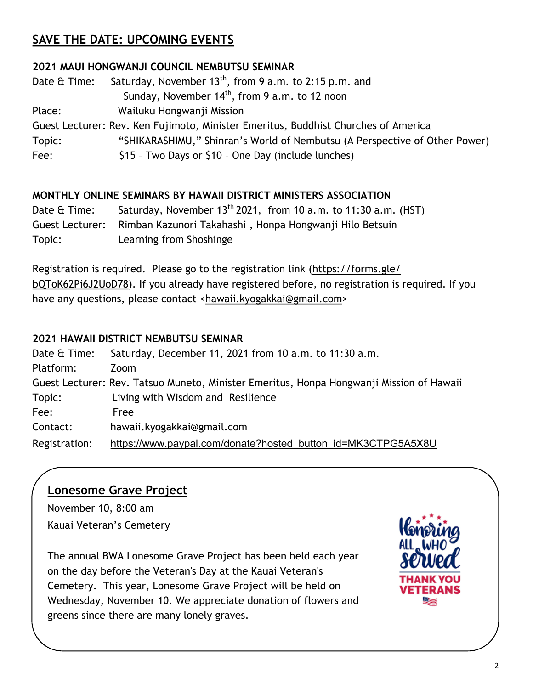# **SAVE THE DATE: UPCOMING EVENTS**

### **2021 MAUI HONGWANJI COUNCIL NEMBUTSU SEMINAR**

Date  $\hat{\alpha}$  Time: Saturday, November 13<sup>th</sup>, from 9 a.m. to 2:15 p.m. and Sunday, November  $14<sup>th</sup>$ , from 9 a.m. to 12 noon Place: Wailuku Hongwanji Mission Guest Lecturer: Rev. Ken Fujimoto, Minister Emeritus, Buddhist Churches of America Topic: "SHIKARASHIMU," Shinran's World of Nembutsu (A Perspective of Other Power) Fee:  $$15 - Two Days or $10 - One Day (include lunches)$ 

### **MONTHLY ONLINE SEMINARS BY HAWAII DISTRICT MINISTERS ASSOCIATION**

Date  $\hat{\alpha}$  Time: Saturday, November 13<sup>th</sup> 2021, from 10 a.m. to 11:30 a.m. (HST) Guest Lecturer: Rimban Kazunori Takahashi , Honpa Hongwanji Hilo Betsuin Topic: Learning from Shoshinge

Registration is required. Please go to the registration link ([https://forms.gle/](https://forms.gle/bQToK62Pi6J2UoD78) [bQToK62Pi6J2UoD78\)](https://forms.gle/bQToK62Pi6J2UoD78). If you already have registered before, no registration is required. If you have any questions, please contact <[hawaii.kyogakkai@gmail.com>](mailto:hawaii.kyogakkai@gmail.com)

### **2021 HAWAII DISTRICT NEMBUTSU SEMINAR**

| Date & Time:  | Saturday, December 11, 2021 from 10 a.m. to 11:30 a.m.                                   |
|---------------|------------------------------------------------------------------------------------------|
| Platform:     | Zoom                                                                                     |
|               | Guest Lecturer: Rev. Tatsuo Muneto, Minister Emeritus, Honpa Hongwanji Mission of Hawaii |
| Topic:        | Living with Wisdom and Resilience                                                        |
| Fee:          | Free                                                                                     |
| Contact:      | hawaii.kyogakkai@gmail.com                                                               |
| Registration: | https://www.paypal.com/donate?hosted_button_id=MK3CTPG5A5X8U                             |

# **Lonesome Grave Project**

November 10, 8:00 am Kauai Veteran's Cemetery

The annual BWA Lonesome Grave Project has been held each year on the day before the Veteran's Day at the Kauai Veteran's Cemetery. This year, Lonesome Grave Project will be held on Wednesday, November 10. We appreciate donation of flowers and greens since there are many lonely graves.

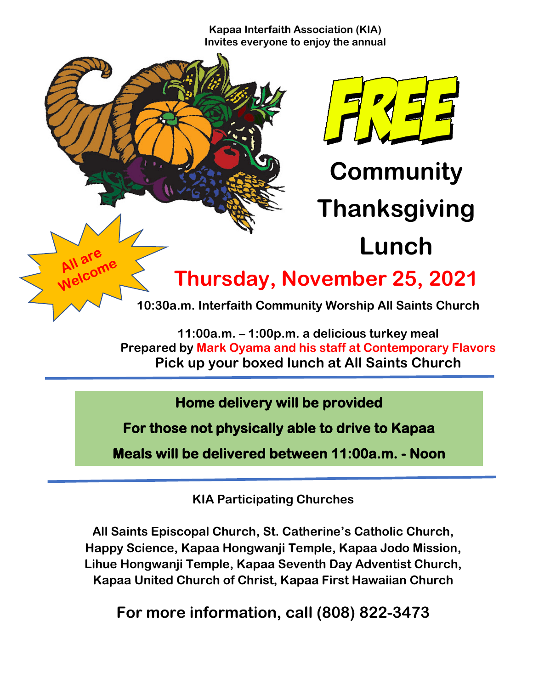**Kapaa Interfaith Association (KIA) Invites everyone to enjoy the annual**



**Thursday, November 25, 2021**

**10:30a.m. Interfaith Community Worship All Saints Church**

**11:00a.m. – 1:00p.m. a delicious turkey meal Prepared by Mark Oyama and his staff at Contemporary Flavors Pick up your boxed lunch at All Saints Church**

**Home delivery will be provided** 

**For those not physically able to drive to Kapaa** 

**Meals will be delivered between 11:00a.m. - Noon** 

**KIA Participating Churches**

**All Saints Episcopal Church, St. Catherine's Catholic Church, Happy Science, Kapaa Hongwanji Temple, Kapaa Jodo Mission, Lihue Hongwanji Temple, Kapaa Seventh Day Adventist Church, Kapaa United Church of Christ, Kapaa First Hawaiian Church**

**For more information, call (808) 822-3473**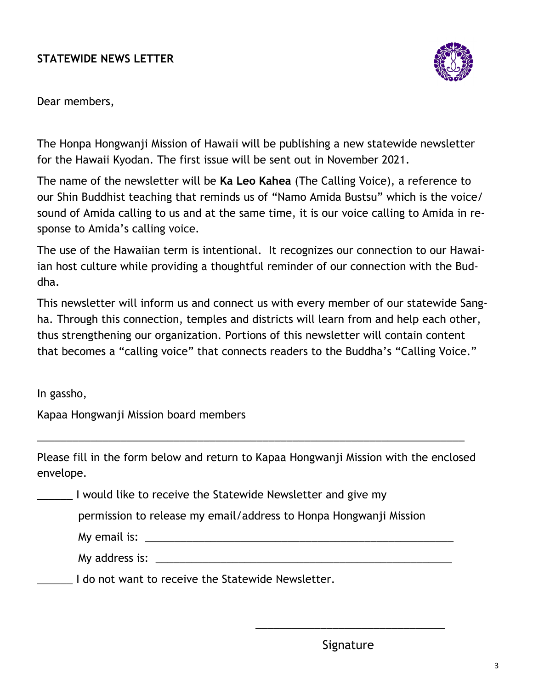# **STATEWIDE NEWS LETTER**



Dear members,

The Honpa Hongwanji Mission of Hawaii will be publishing a new statewide newsletter for the Hawaii Kyodan. The first issue will be sent out in November 2021.

The name of the newsletter will be **Ka Leo Kahea** (The Calling Voice), a reference to our Shin Buddhist teaching that reminds us of "Namo Amida Bustsu" which is the voice/ sound of Amida calling to us and at the same time, it is our voice calling to Amida in response to Amida's calling voice.

The use of the Hawaiian term is intentional. It recognizes our connection to our Hawaiian host culture while providing a thoughtful reminder of our connection with the Buddha.

This newsletter will inform us and connect us with every member of our statewide Sangha. Through this connection, temples and districts will learn from and help each other, thus strengthening our organization. Portions of this newsletter will contain content that becomes a "calling voice" that connects readers to the Buddha's "Calling Voice."

In gassho,

Kapaa Hongwanji Mission board members

Please fill in the form below and return to Kapaa Hongwanji Mission with the enclosed envelope.

\_\_\_\_\_\_\_\_\_\_\_\_\_\_\_\_\_\_\_\_\_\_\_\_\_\_\_\_\_\_\_\_\_\_\_\_\_\_\_\_\_\_\_\_\_\_\_\_\_\_\_\_\_\_\_\_\_\_\_\_\_\_\_\_\_\_\_\_\_\_\_\_

\_\_\_\_\_\_ I would like to receive the Statewide Newsletter and give my

permission to release my email/address to Honpa Hongwanji Mission

 $\overline{\phantom{a}}$  , and the contract of the contract of the contract of the contract of the contract of the contract of the contract of the contract of the contract of the contract of the contract of the contract of the contrac

My email is:  $\blacksquare$ 

My address is: \_\_\_\_\_\_\_\_\_\_\_\_\_\_\_\_\_\_\_\_\_\_\_\_\_\_\_\_\_\_\_\_\_\_\_\_\_\_\_\_\_\_\_\_\_\_\_\_\_\_

\_\_\_\_\_\_ I do not want to receive the Statewide Newsletter.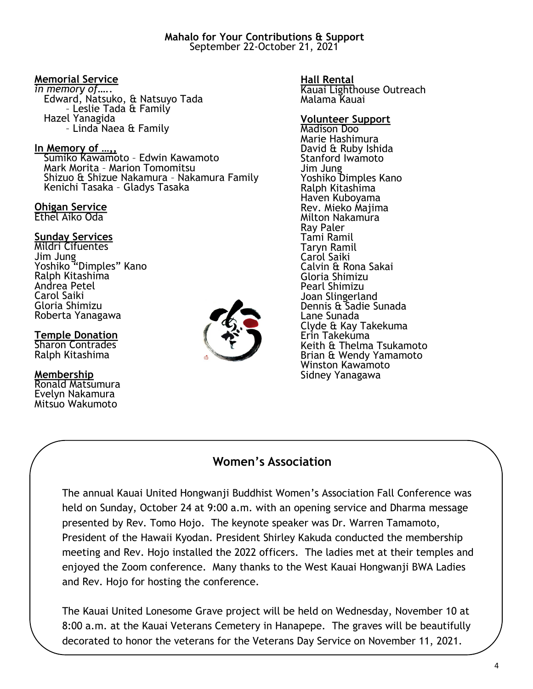### **Memorial Service**

*in memory of…..* Edward, Natsuko, & Natsuyo Tada – Leslie Tada & Family Hazel Yanagida – Linda Naea & Family

### **In Memory of …,,**

 Sumiko Kawamoto – Edwin Kawamoto Mark Morita – Marion Tomomitsu Shizuo & Shizue Nakamura – Nakamura Family Kenichi Tasaka – Gladys Tasaka

#### **Ohigan Service** Ethel Aiko Oda

### **Sunday Services**

Mildri Cifuentes Jim Jung Yoshiko "Dimples" Kano Ralph Kitashima Andrea Petel Carol Saiki Gloria Shimizu Roberta Yanagawa

### **Temple Donation**

Sharon Contrades Ralph Kitashima

#### **Membership**

Ronald Matsumura Evelyn Nakamura Mitsuo Wakumoto



**Hall Rental** Kauai Lighthouse Outreach Malama Kauai

#### **Volunteer Support**

Madison Doo Marie Hashimura David & Ruby Ishida Stanford Iwamoto Jim Jung Yoshiko Dimples Kano Ralph Kitashima Haven Kuboyama Rev. Mieko Majima Milton Nakamura Ray Paler Tami Ramil Taryn Ramil Carol Saiki Calvin & Rona Sakai Gloria Shimizu Pearl Shimizu Joan Slingerland Dennis & Sadie Sunada Lane Sunada Clyde & Kay Takekuma Erin Takekuma Keith & Thelma Tsukamoto Brian & Wendy Yamamoto Winston Kawamoto Sidney Yanagawa

### **Women's Association**

The annual Kauai United Hongwanji Buddhist Women's Association Fall Conference was held on Sunday, October 24 at 9:00 a.m. with an opening service and Dharma message presented by Rev. Tomo Hojo. The keynote speaker was Dr. Warren Tamamoto, President of the Hawaii Kyodan. President Shirley Kakuda conducted the membership meeting and Rev. Hojo installed the 2022 officers. The ladies met at their temples and enjoyed the Zoom conference. Many thanks to the West Kauai Hongwanji BWA Ladies and Rev. Hojo for hosting the conference.

The Kauai United Lonesome Grave project will be held on Wednesday, November 10 at 8:00 a.m. at the Kauai Veterans Cemetery in Hanapepe. The graves will be beautifully decorated to honor the veterans for the Veterans Day Service on November 11, 2021.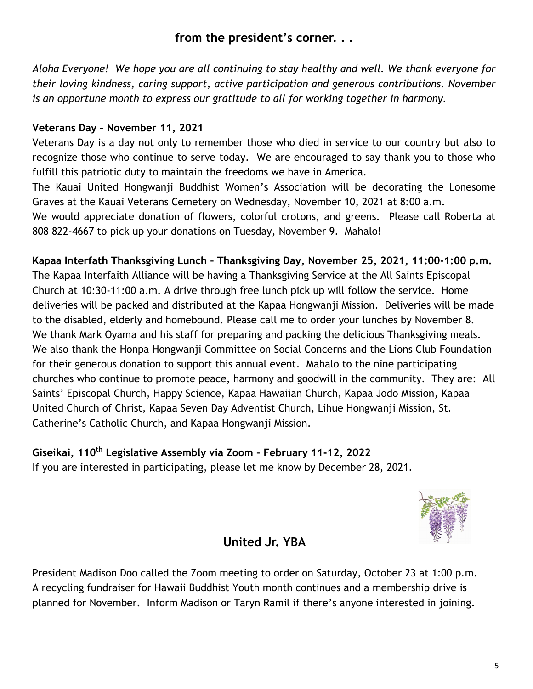# **from the president's corner. . .**

*Aloha Everyone! We hope you are all continuing to stay healthy and well. We thank everyone for their loving kindness, caring support, active participation and generous contributions. November is an opportune month to express our gratitude to all for working together in harmony.* 

## **Veterans Day – November 11, 2021**

Veterans Day is a day not only to remember those who died in service to our country but also to recognize those who continue to serve today. We are encouraged to say thank you to those who fulfill this patriotic duty to maintain the freedoms we have in America. The Kauai United Hongwanji Buddhist Women's Association will be decorating the Lonesome Graves at the Kauai Veterans Cemetery on Wednesday, November 10, 2021 at 8:00 a.m.

We would appreciate donation of flowers, colorful crotons, and greens. Please call Roberta at 808 822-4667 to pick up your donations on Tuesday, November 9. Mahalo!

**Kapaa Interfath Thanksgiving Lunch – Thanksgiving Day, November 25, 2021, 11:00-1:00 p.m.** The Kapaa Interfaith Alliance will be having a Thanksgiving Service at the All Saints Episcopal

Church at 10:30-11:00 a.m. A drive through free lunch pick up will follow the service. Home deliveries will be packed and distributed at the Kapaa Hongwanji Mission. Deliveries will be made to the disabled, elderly and homebound. Please call me to order your lunches by November 8. We thank Mark Oyama and his staff for preparing and packing the delicious Thanksgiving meals. We also thank the Honpa Hongwanji Committee on Social Concerns and the Lions Club Foundation for their generous donation to support this annual event. Mahalo to the nine participating churches who continue to promote peace, harmony and goodwill in the community. They are: All Saints' Episcopal Church, Happy Science, Kapaa Hawaiian Church, Kapaa Jodo Mission, Kapaa United Church of Christ, Kapaa Seven Day Adventist Church, Lihue Hongwanji Mission, St. Catherine's Catholic Church, and Kapaa Hongwanji Mission.

# **Giseikai, 110th Legislative Assembly via Zoom – February 11-12, 2022** If you are interested in participating, please let me know by December 28, 2021.



# **United Jr. YBA**

President Madison Doo called the Zoom meeting to order on Saturday, October 23 at 1:00 p.m. A recycling fundraiser for Hawaii Buddhist Youth month continues and a membership drive is planned for November. Inform Madison or Taryn Ramil if there's anyone interested in joining.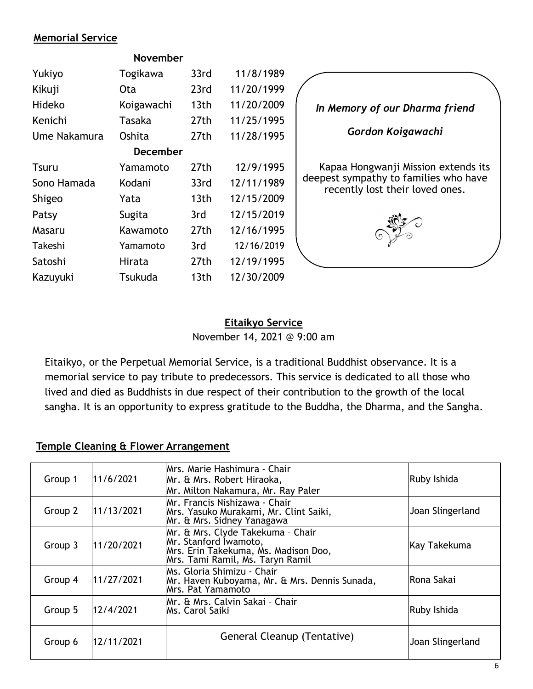### **Memorial Service**

**November**

| Yukiyo       | Togikawa   | 33rd             | 11/8/1989  |  |  |  |
|--------------|------------|------------------|------------|--|--|--|
| Kikuji       | Ota        | 23rd             | 11/20/1999 |  |  |  |
| Hideko       | Koigawachi | 13 <sub>th</sub> | 11/20/2009 |  |  |  |
| Kenichi      | Tasaka     | 27th             | 11/25/1995 |  |  |  |
| Ume Nakamura | Oshita     | 27th             | 11/28/1995 |  |  |  |
| December     |            |                  |            |  |  |  |
| Tsuru        | Yamamoto   | 27th             | 12/9/1995  |  |  |  |
| Sono Hamada  | Kodani     | 33rd             | 12/11/1989 |  |  |  |
| Shigeo       | Yata       | 13 <sub>th</sub> | 12/15/2009 |  |  |  |
| Patsy        | Sugita     | 3rd              | 12/15/2019 |  |  |  |
| Masaru       | Kawamoto   | 27th             | 12/16/1995 |  |  |  |
| Takeshi      | Yamamoto   | 3rd              | 12/16/2019 |  |  |  |
| Satoshi      | Hirata     | 27th             | 12/19/1995 |  |  |  |
| Kazuyuki     | Tsukuda    | 13th             | 12/30/2009 |  |  |  |



### **Eitaikyo Service** November 14, 2021 @ 9:00 am

Eitaikyo, or the Perpetual Memorial Service, is a traditional Buddhist observance. It is a memorial service to pay tribute to predecessors. This service is dedicated to all those who lived and died as Buddhists in due respect of their contribution to the growth of the local sangha. It is an opportunity to express gratitude to the Buddha, the Dharma, and the Sangha.

### **Temple Cleaning & Flower Arrangement**

| Group 1 | 11/6/2021  | IMrs. Marie Hashimura - Chair<br>Mr. & Mrs. Robert Hiraoka,<br>Mr. Milton Nakamura, Mr. Ray Paler                                      | Ruby Ishida      |
|---------|------------|----------------------------------------------------------------------------------------------------------------------------------------|------------------|
| Group 2 | 11/13/2021 | Mr. Francis Nishizawa - Chair<br>Mrs. Yasuko Murakami, Mr. Clint Saiki,<br>Mr. & Mrs. Sidney Yanagawa                                  | Joan Slingerland |
| Group 3 | 11/20/2021 | Mr. & Mrs. Clyde Takekuma - Chair<br>Mr. Stanford Iwamoto,<br>Mrs. Erin Takekuma, Ms. Madison Doo,<br>Mrs. Tami Ramil, Ms. Taryn Ramil | Kay Takekuma     |
| Group 4 | 11/27/2021 | Ms. Gloria Shimizu - Chair<br>Mr. Haven Kuboyama, Mr. & Mrs. Dennis Sunada,<br>Mrs. Pat Yamamoto                                       | Rona Sakai       |
| Group 5 | 12/4/2021  | Mr. & Mrs. Calvin Sakai - Chair<br>Ms. Carol Saiki                                                                                     | Ruby Ishida      |
| Group 6 | 12/11/2021 | General Cleanup (Tentative)                                                                                                            | Joan Slingerland |